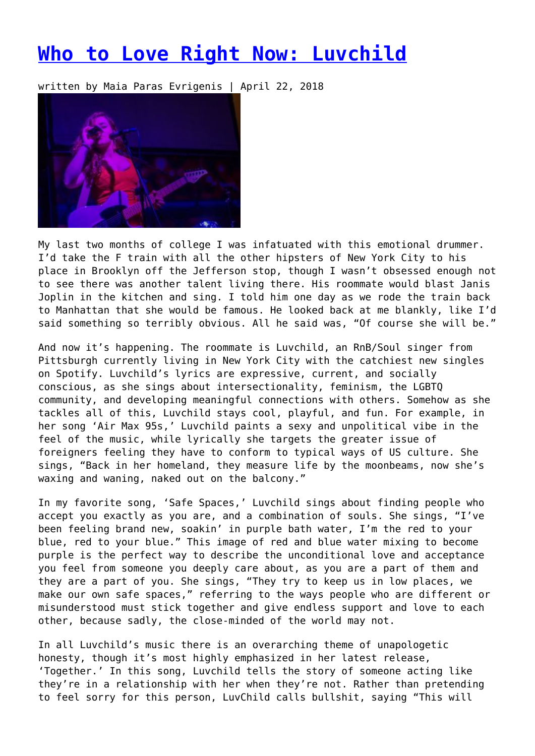## **[Who to Love Right Now: Luvchild](https://entropymag.org/who-to-love-right-now-luvchild/)**

written by Maia Paras Evrigenis | April 22, 2018



My last two months of college I was infatuated with this emotional drummer. I'd take the F train with all the other hipsters of New York City to his place in Brooklyn off the Jefferson stop, though I wasn't obsessed enough not to see there was another talent living there. His roommate would blast Janis Joplin in the kitchen and sing. I told him one day as we rode the train back to Manhattan that she would be famous. He looked back at me blankly, like I'd said something so terribly obvious. All he said was, "Of course she will be."

And now it's happening. The roommate is Luvchild, an RnB/Soul singer from Pittsburgh currently living in New York City with the catchiest new singles on Spotify. Luvchild's lyrics are expressive, current, and socially conscious, as she sings about intersectionality, feminism, the LGBTQ community, and developing meaningful connections with others. Somehow as she tackles all of this, Luvchild stays cool, playful, and fun. For example, in her song 'Air Max 95s,' Luvchild paints a sexy and unpolitical vibe in the feel of the music, while lyrically she targets the greater issue of foreigners feeling they have to conform to typical ways of US culture. She sings, "Back in her homeland, they measure life by the moonbeams, now she's waxing and waning, naked out on the balcony."

In my favorite song, 'Safe Spaces,' Luvchild sings about finding people who accept you exactly as you are, and a combination of souls. She sings, "I've been feeling brand new, soakin' in purple bath water, I'm the red to your blue, red to your blue." This image of red and blue water mixing to become purple is the perfect way to describe the unconditional love and acceptance you feel from someone you deeply care about, as you are a part of them and they are a part of you. She sings, "They try to keep us in low places, we make our own safe spaces," referring to the ways people who are different or misunderstood must stick together and give endless support and love to each other, because sadly, the close-minded of the world may not.

In all Luvchild's music there is an overarching theme of unapologetic honesty, though it's most highly emphasized in her latest release, 'Together.' In this song, Luvchild tells the story of someone acting like they're in a relationship with her when they're not. Rather than pretending to feel sorry for this person, LuvChild calls bullshit, saying "This will